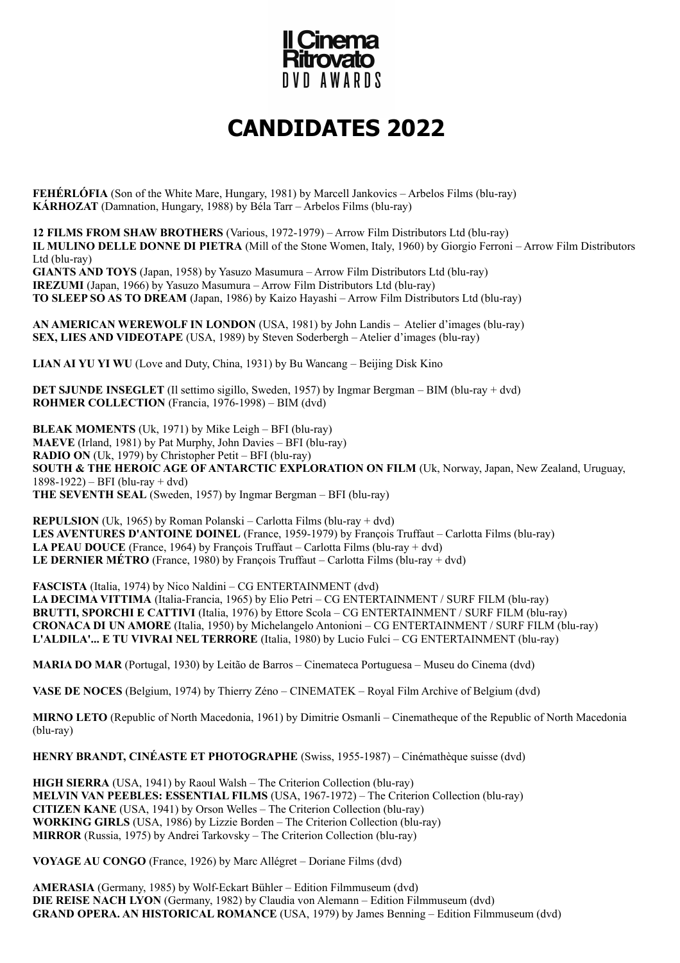

## **CANDIDATES 2022**

**FEHÉRLÓFIA** (Son of the White Mare, Hungary, 1981) by Marcell Jankovics – Arbelos Films (blu-ray) **KÁRHOZAT** (Damnation, Hungary, 1988) by Béla Tarr – Arbelos Films (blu-ray)

**12 FILMS FROM SHAW BROTHERS** (Various, 1972-1979) – Arrow Film Distributors Ltd (blu-ray) **IL MULINO DELLE DONNE DI PIETRA** (Mill of the Stone Women, Italy, 1960) by Giorgio Ferroni – Arrow Film Distributors Ltd (blu-ray) **GIANTS AND TOYS** (Japan, 1958) by Yasuzo Masumura – Arrow Film Distributors Ltd (blu-ray) **IREZUMI** (Japan, 1966) by Yasuzo Masumura – Arrow Film Distributors Ltd (blu-ray) **TO SLEEP SO AS TO DREAM** (Japan, 1986) by Kaizo Hayashi – Arrow Film Distributors Ltd (blu-ray)

**AN AMERICAN WEREWOLF IN LONDON** (USA, 1981) by John Landis – Atelier d'images (blu-ray) **SEX, LIES AND VIDEOTAPE** (USA, 1989) by Steven Soderbergh – Atelier d'images (blu-ray)

**LIAN AI YU YI WU** (Love and Duty, China, 1931) by Bu Wancang – Beijing Disk Kino

**DET SJUNDE INSEGLET** (Il settimo sigillo, Sweden, 1957) by Ingmar Bergman – BIM (blu-ray + dvd) **ROHMER COLLECTION** (Francia, 1976-1998) – BIM (dvd)

**BLEAK MOMENTS** (Uk, 1971) by Mike Leigh – BFI (blu-ray) **MAEVE** (Irland, 1981) by Pat Murphy, John Davies – BFI (blu-ray) **RADIO ON** (Uk, 1979) by Christopher Petit – BFI (blu-ray) **SOUTH & THE HEROIC AGE OF ANTARCTIC EXPLORATION ON FILM** (Uk, Norway, Japan, New Zealand, Uruguay, 1898-1922) – BFI (blu-ray + dvd) **THE SEVENTH SEAL** (Sweden, 1957) by Ingmar Bergman – BFI (blu-ray)

**REPULSION** (Uk, 1965) by Roman Polanski – Carlotta Films (blu-ray + dvd) LES AVENTURES D'ANTOINE DOINEL (France, 1959-1979) by Francois Truffaut – Carlotta Films (blu-ray) **LA PEAU DOUCE** (France, 1964) by François Truffaut – Carlotta Films (blu-ray + dvd) **LE DERNIER MÉTRO** (France, 1980) by François Truffaut – Carlotta Films (blu-ray + dvd)

**FASCISTA** (Italia, 1974) by Nico Naldini – CG ENTERTAINMENT (dvd) **LA DECIMA VITTIMA** (Italia-Francia, 1965) by Elio Petri – CG ENTERTAINMENT / SURF FILM (blu-ray) **BRUTTI, SPORCHI E CATTIVI** (Italia, 1976) by Ettore Scola – CG ENTERTAINMENT / SURF FILM (blu-ray) **CRONACA DI UN AMORE** (Italia, 1950) by Michelangelo Antonioni – CG ENTERTAINMENT / SURF FILM (blu-ray) **L'ALDILA'... E TU VIVRAI NEL TERRORE** (Italia, 1980) by Lucio Fulci – CG ENTERTAINMENT (blu-ray)

**MARIA DO MAR** (Portugal, 1930) by Leitão de Barros – Cinemateca Portuguesa – Museu do Cinema (dvd)

**VASE DE NOCES** (Belgium, 1974) by Thierry Zéno – CINEMATEK – Royal Film Archive of Belgium (dvd)

**MIRNO LETO** (Republic of North Macedonia, 1961) by Dimitrie Osmanli – Cinematheque of the Republic of North Macedonia (blu-ray)

**HENRY BRANDT, CINÉASTE ET PHOTOGRAPHE** (Swiss, 1955-1987) – Cinémathèque suisse (dvd)

**HIGH SIERRA** (USA, 1941) by Raoul Walsh – The Criterion Collection (blu-ray) **MELVIN VAN PEEBLES: ESSENTIAL FILMS** (USA, 1967-1972) – The Criterion Collection (blu-ray) **CITIZEN KANE** (USA, 1941) by Orson Welles – The Criterion Collection (blu-ray) **WORKING GIRLS** (USA, 1986) by Lizzie Borden – The Criterion Collection (blu-ray) **MIRROR** (Russia, 1975) by Andrei Tarkovsky – The Criterion Collection (blu-ray)

**VOYAGE AU CONGO** (France, 1926) by Marc Allégret – Doriane Films (dvd)

**AMERASIA** (Germany, 1985) by Wolf-Eckart Bühler – Edition Filmmuseum (dvd) **DIE REISE NACH LYON** (Germany, 1982) by Claudia von Alemann – Edition Filmmuseum (dvd) **GRAND OPERA. AN HISTORICAL ROMANCE** (USA, 1979) by James Benning – Edition Filmmuseum (dvd)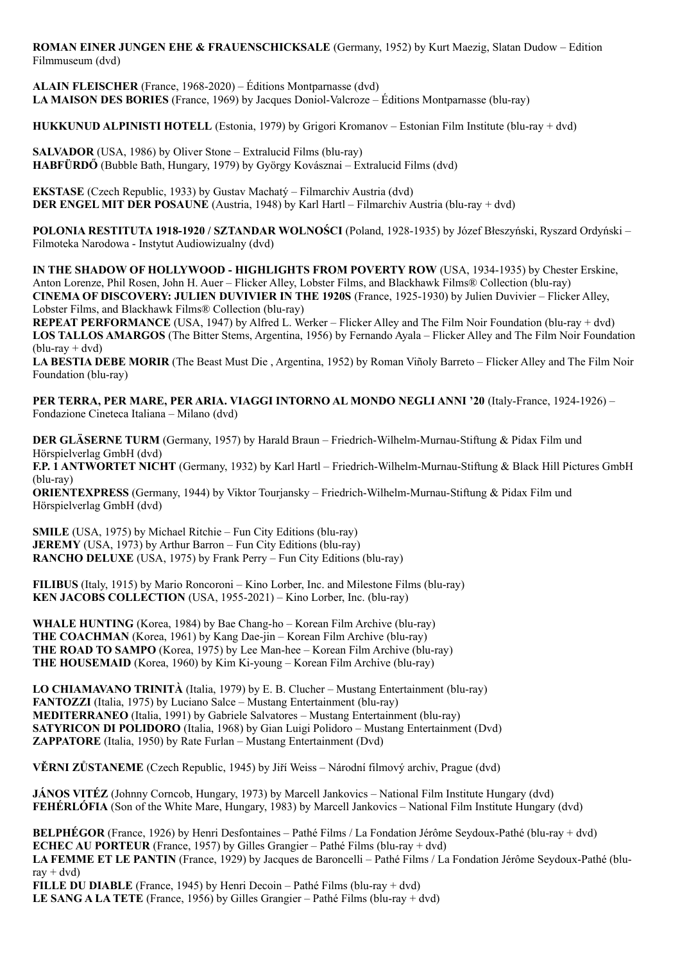**ROMAN EINER JUNGEN EHE & FRAUENSCHICKSALE** (Germany, 1952) by Kurt Maezig, Slatan Dudow – Edition Filmmuseum (dvd)

**ALAIN FLEISCHER** (France, 1968-2020) – Éditions Montparnasse (dvd) **LA MAISON DES BORIES** (France, 1969) by Jacques Doniol-Valcroze – Éditions Montparnasse (blu-ray)

**HUKKUNUD ALPINISTI HOTELL** (Estonia, 1979) by Grigori Kromanov – Estonian Film Institute (blu-ray + dvd)

**SALVADOR** (USA, 1986) by Oliver Stone – Extralucid Films (blu-ray) **HABFÜRDŐ** (Bubble Bath, Hungary, 1979) by György Kovásznai – Extralucid Films (dvd)

**EKSTASE** (Czech Republic, 1933) by Gustav Machatý – Filmarchiv Austria (dvd) **DER ENGEL MIT DER POSAUNE** (Austria, 1948) by Karl Hartl – Filmarchiv Austria (blu-ray + dvd)

**POLONIA RESTITUTA 1918-1920 / SZTANDAR WOLNOŚCI** (Poland, 1928-1935) by Józef Błeszyński, Ryszard Ordyński – Filmoteka Narodowa - Instytut Audiowizualny (dvd)

**IN THE SHADOW OF HOLLYWOOD - HIGHLIGHTS FROM POVERTY ROW** (USA, 1934-1935) by Chester Erskine, Anton Lorenze, Phil Rosen, John H. Auer – Flicker Alley, Lobster Films, and Blackhawk Films® Collection (blu-ray) **CINEMA OF DISCOVERY: JULIEN DUVIVIER IN THE 1920S** (France, 1925-1930) by Julien Duvivier – Flicker Alley, Lobster Films, and Blackhawk Films® Collection (blu-ray)

**REPEAT PERFORMANCE** (USA, 1947) by Alfred L. Werker – Flicker Alley and The Film Noir Foundation (blu-ray + dvd) **LOS TALLOS AMARGOS** (The Bitter Stems, Argentina, 1956) by Fernando Ayala – Flicker Alley and The Film Noir Foundation  $(blu-ray + dvd)$ 

**LA BESTIA DEBE MORIR** (The Beast Must Die , Argentina, 1952) by Roman Viñoly Barreto – Flicker Alley and The Film Noir Foundation (blu-ray)

**PER TERRA, PER MARE, PER ARIA. VIAGGI INTORNO AL MONDO NEGLI ANNI '20** (Italy-France, 1924-1926) – Fondazione Cineteca Italiana – Milano (dvd)

**DER GLÄSERNE TURM** (Germany, 1957) by Harald Braun – Friedrich-Wilhelm-Murnau-Stiftung & Pidax Film und Hörspielverlag GmbH (dvd) **F.P. 1 ANTWORTET NICHT** (Germany, 1932) by Karl Hartl – Friedrich-Wilhelm-Murnau-Stiftung & Black Hill Pictures GmbH (blu-ray)

**ORIENTEXPRESS** (Germany, 1944) by Viktor Tourjansky – Friedrich-Wilhelm-Murnau-Stiftung & Pidax Film und Hörspielverlag GmbH (dvd)

**SMILE** (USA, 1975) by Michael Ritchie – Fun City Editions (blu-ray) **JEREMY** (USA, 1973) by Arthur Barron – Fun City Editions (blu-ray) **RANCHO DELUXE** (USA, 1975) by Frank Perry – Fun City Editions (blu-ray)

**FILIBUS** (Italy, 1915) by Mario Roncoroni – Kino Lorber, Inc. and Milestone Films (blu-ray) **KEN JACOBS COLLECTION** (USA, 1955-2021) – Kino Lorber, Inc. (blu-ray)

**WHALE HUNTING** (Korea, 1984) by Bae Chang-ho – Korean Film Archive (blu-ray) **THE COACHMAN** (Korea, 1961) by Kang Dae-jin – Korean Film Archive (blu-ray) **THE ROAD TO SAMPO** (Korea, 1975) by Lee Man-hee – Korean Film Archive (blu-ray) **THE HOUSEMAID** (Korea, 1960) by Kim Ki-young – Korean Film Archive (blu-ray)

**LO CHIAMAVANO TRINITÀ** (Italia, 1979) by E. B. Clucher – Mustang Entertainment (blu-ray) **FANTOZZI** (Italia, 1975) by Luciano Salce – Mustang Entertainment (blu-ray) **MEDITERRANEO** (Italia, 1991) by Gabriele Salvatores – Mustang Entertainment (blu-ray) **SATYRICON DI POLIDORO** (Italia, 1968) by Gian Luigi Polidoro – Mustang Entertainment (Dvd) **ZAPPATORE** (Italia, 1950) by Rate Furlan – Mustang Entertainment (Dvd)

**VĚRNI ZŮSTANEME** (Czech Republic, 1945) by Jiří Weiss – Národní filmový archiv, Prague (dvd)

**JÁNOS VITÉZ** (Johnny Corncob, Hungary, 1973) by Marcell Jankovics – National Film Institute Hungary (dvd) **FEHÉRLÓFIA** (Son of the White Mare, Hungary, 1983) by Marcell Jankovics – National Film Institute Hungary (dvd)

**BELPHÉGOR** (France, 1926) by Henri Desfontaines – Pathé Films / La Fondation Jérôme Seydoux-Pathé (blu-ray + dvd) **ECHEC AU PORTEUR** (France, 1957) by Gilles Grangier – Pathé Films (blu-ray + dvd) **LA FEMME ET LE PANTIN** (France, 1929) by Jacques de Baroncelli – Pathé Films / La Fondation Jérôme Seydoux-Pathé (blu $rav + dvd$ **FILLE DU DIABLE** (France, 1945) by Henri Decoin – Pathé Films (blu-ray + dvd) **LE SANG A LA TETE** (France, 1956) by Gilles Grangier – Pathé Films (blu-ray + dvd)